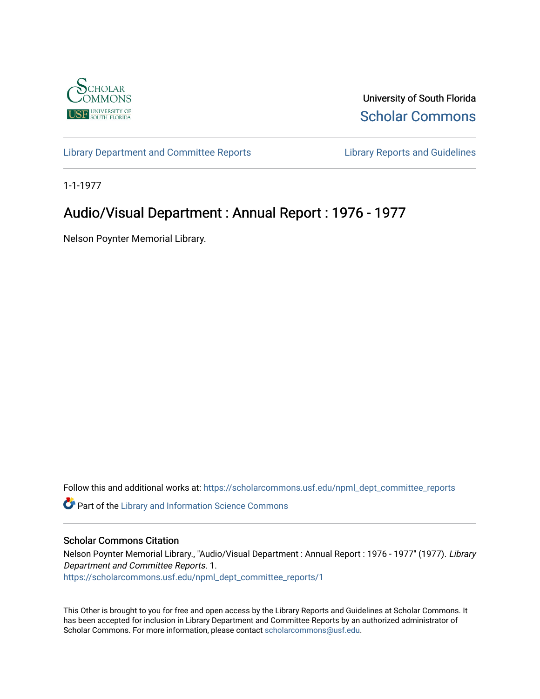

University of South Florida [Scholar Commons](https://scholarcommons.usf.edu/) 

[Library Department and Committee Reports](https://scholarcommons.usf.edu/npml_dept_committee_reports) [Library Reports and Guidelines](https://scholarcommons.usf.edu/npml_reports_guidelines_instruct_materials) 

1-1-1977

## Audio/Visual Department : Annual Report : 1976 - 1977

Nelson Poynter Memorial Library.

Follow this and additional works at: [https://scholarcommons.usf.edu/npml\\_dept\\_committee\\_reports](https://scholarcommons.usf.edu/npml_dept_committee_reports?utm_source=scholarcommons.usf.edu%2Fnpml_dept_committee_reports%2F1&utm_medium=PDF&utm_campaign=PDFCoverPages)

Part of the [Library and Information Science Commons](http://network.bepress.com/hgg/discipline/1018?utm_source=scholarcommons.usf.edu%2Fnpml_dept_committee_reports%2F1&utm_medium=PDF&utm_campaign=PDFCoverPages) 

## Scholar Commons Citation

Nelson Poynter Memorial Library., "Audio/Visual Department : Annual Report : 1976 - 1977" (1977). Library Department and Committee Reports. 1. [https://scholarcommons.usf.edu/npml\\_dept\\_committee\\_reports/1](https://scholarcommons.usf.edu/npml_dept_committee_reports/1?utm_source=scholarcommons.usf.edu%2Fnpml_dept_committee_reports%2F1&utm_medium=PDF&utm_campaign=PDFCoverPages)

This Other is brought to you for free and open access by the Library Reports and Guidelines at Scholar Commons. It has been accepted for inclusion in Library Department and Committee Reports by an authorized administrator of Scholar Commons. For more information, please contact [scholarcommons@usf.edu](mailto:scholarcommons@usf.edu).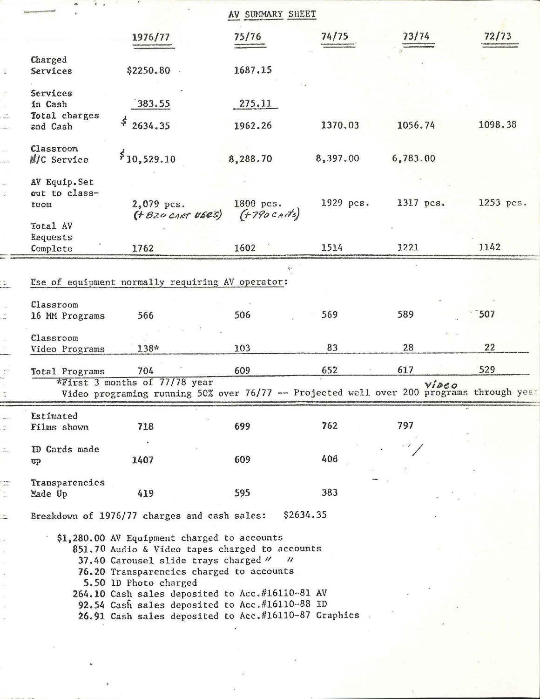|                      |                                                                                                                                                                                                              |                                                                                                                                                           | AV SUMMARY SHEET            |           |           |           |
|----------------------|--------------------------------------------------------------------------------------------------------------------------------------------------------------------------------------------------------------|-----------------------------------------------------------------------------------------------------------------------------------------------------------|-----------------------------|-----------|-----------|-----------|
|                      |                                                                                                                                                                                                              | 1976/77                                                                                                                                                   | 75/76                       | 74/75     | 73/74     | 72/73     |
| $\frac{1}{\sqrt{2}}$ | Charged<br>Services                                                                                                                                                                                          | \$2250.80                                                                                                                                                 | 1687.15                     |           |           |           |
| $\frac{1}{2}$        | Services<br>in Cash                                                                                                                                                                                          | 383.55                                                                                                                                                    | 275.11                      |           |           |           |
|                      | Total charges<br>and Cash                                                                                                                                                                                    | $\leq$<br>2634.35                                                                                                                                         | 1962.26                     | 1370.03   | 1056.74   | 1098.38   |
|                      | Classroom<br>N/C Service                                                                                                                                                                                     | \$10,529.10                                                                                                                                               | 8,288.70                    | 8,397.00  | 6,783.00  |           |
|                      | AV Equip. Set                                                                                                                                                                                                |                                                                                                                                                           |                             |           |           |           |
|                      | out to class-<br>room                                                                                                                                                                                        | 2,079 pcs.<br>(+ B20 CART USES)                                                                                                                           | 1800 pcs.<br>$(1790$ Carts) | 1929 pcs. | 1317 pcs. | 1253 pcs. |
|                      | Total AV<br>Requests                                                                                                                                                                                         |                                                                                                                                                           |                             |           |           |           |
|                      | Complete                                                                                                                                                                                                     | 1762                                                                                                                                                      | 1602                        | 1514      | 1221      | 1142      |
|                      |                                                                                                                                                                                                              | Use of equipment normally requiring AV operator:                                                                                                          |                             |           |           |           |
|                      | Classroom<br>16 MM Programs                                                                                                                                                                                  | 566                                                                                                                                                       | 506                         | 569       | 589       | 507       |
|                      | Classroom<br>Video Programs                                                                                                                                                                                  | 138*                                                                                                                                                      | 103                         | 83        | 28        | 22        |
|                      | Total Programs                                                                                                                                                                                               | 704                                                                                                                                                       | 609                         | 652       | 617       | 529       |
|                      |                                                                                                                                                                                                              | $*First$ 3 months of 77/78 year<br>Video programing running 50% over 76/77 -- Projected well over 200 programs through year                               |                             |           | Video     |           |
|                      | Estimated                                                                                                                                                                                                    |                                                                                                                                                           |                             |           |           |           |
|                      | Films shown                                                                                                                                                                                                  | 718                                                                                                                                                       | 699                         | 762       | 797       |           |
|                      | ID Cards made<br>$\mathbf{p}$                                                                                                                                                                                | 1407                                                                                                                                                      | 609                         | 406       |           |           |
|                      | Transparencies<br>Made Up                                                                                                                                                                                    | 419                                                                                                                                                       | 595                         | 383       |           |           |
|                      | \$2634.35<br>Breakdown of 1976/77 charges and cash sales:                                                                                                                                                    |                                                                                                                                                           |                             |           |           |           |
|                      | \$1,280.00 AV Equipment charged to accounts<br>851.70 Audio & Video tapes charged to accounts<br>37.40 Carousel slide trays charged " "<br>76.20 Transparencies charged to accounts<br>5.50 ID Photo charged |                                                                                                                                                           |                             |           |           |           |
|                      |                                                                                                                                                                                                              | 264.10 Cash sales deposited to Acc.#16110-81 AV<br>92.54 Cash sales deposited to Acc.#16110-88 ID<br>26.91 Cash sales deposited to Acc.#16110-87 Graphics |                             |           |           |           |
|                      |                                                                                                                                                                                                              |                                                                                                                                                           |                             |           |           |           |